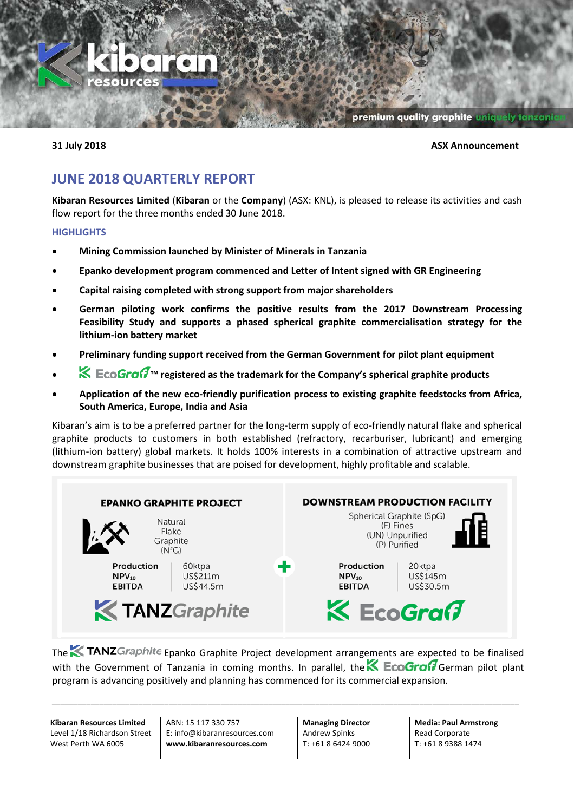

#### **31 July 2018 ASX Announcement**

## **JUNE 2018 QUARTERLY REPORT**

**Kibaran Resources Limited** (**Kibaran** or the **Company**) (ASX: KNL), is pleased to release its activities and cash flow report for the three months ended 30 June 2018.

#### **HIGHLIGHTS**

- **Mining Commission launched by Minister of Minerals in Tanzania**
- **Epanko development program commenced and Letter of Intent signed with GR Engineering**
- **Capital raising completed with strong support from major shareholders**
- **German piloting work confirms the positive results from the 2017 Downstream Processing Feasibility Study and supports a phased spherical graphite commercialisation strategy for the lithium-ion battery market**
- **Preliminary funding support received from the German Government for pilot plant equipment**
- **Netally Text** registered as the trademark for the Company's spherical graphite products
- **Application of the new eco-friendly purification process to existing graphite feedstocks from Africa, South America, Europe, India and Asia**

Kibaran's aim is to be a preferred partner for the long-term supply of eco-friendly natural flake and spherical graphite products to customers in both established (refractory, recarburiser, lubricant) and emerging (lithium-ion battery) global markets. It holds 100% interests in a combination of attractive upstream and downstream graphite businesses that are poised for development, highly profitable and scalable.



The **EX TANZ**Graphite Epanko Graphite Project development arrangements are expected to be finalised with the Government of Tanzania in coming months. In parallel, the **SECOGraf** German pilot plant program is advancing positively and planning has commenced for its commercial expansion.

\_\_\_\_\_\_\_\_\_\_\_\_\_\_\_\_\_\_\_\_\_\_\_\_\_\_\_\_\_\_\_\_\_\_\_\_\_\_\_\_\_\_\_\_\_\_\_\_\_\_\_\_\_\_\_\_\_\_\_\_\_\_\_\_\_\_\_\_\_\_\_\_\_\_\_\_\_\_\_\_\_\_\_\_\_\_\_\_\_\_\_\_\_\_\_\_\_\_\_\_\_\_\_\_\_\_\_\_

**Kibaran Resources Limited** Level 1/18 Richardson Street West Perth WA 6005

ABN: 15 117 330 757 E: info@kibaranresources.com **www.kibaranresources.com**

**Managing Director** Andrew Spinks T: +61 8 6424 9000

**Media: Paul Armstrong** Read Corporate T: +61 8 9388 1474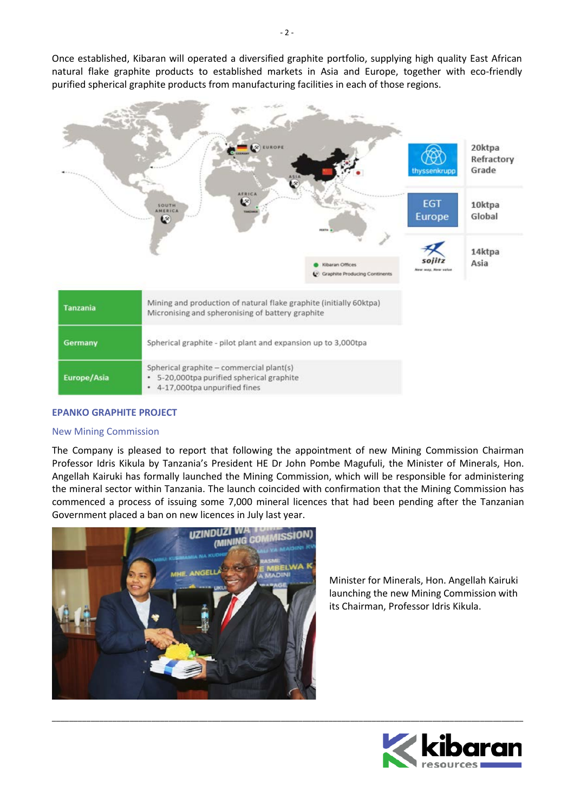Once established, Kibaran will operated a diversified graphite portfolio, supplying high quality East African natural flake graphite products to established markets in Asia and Europe, together with eco-friendly purified spherical graphite products from manufacturing facilities in each of those regions.



#### **EPANKO GRAPHITE PROJECT**

#### New Mining Commission

The Company is pleased to report that following the appointment of new Mining Commission Chairman Professor Idris Kikula by Tanzania's President HE Dr John Pombe Magufuli, the Minister of Minerals, Hon. Angellah Kairuki has formally launched the Mining Commission, which will be responsible for administering the mineral sector within Tanzania. The launch coincided with confirmation that the Mining Commission has commenced a process of issuing some 7,000 mineral licences that had been pending after the Tanzanian Government placed a ban on new licences in July last year.

\_\_\_\_\_\_\_\_\_\_\_\_\_\_\_\_\_\_\_\_\_\_\_\_\_\_\_\_\_\_\_\_\_\_\_\_\_\_\_\_\_\_\_\_\_\_\_\_\_\_\_\_\_\_\_\_\_\_\_\_\_\_\_\_\_\_\_\_\_\_\_\_\_\_\_\_\_\_\_\_\_\_\_\_\_\_\_\_\_\_\_\_\_\_\_\_\_\_\_\_\_\_\_\_\_\_\_\_\_



Minister for Minerals, Hon. Angellah Kairuki launching the new Mining Commission with its Chairman, Professor Idris Kikula.

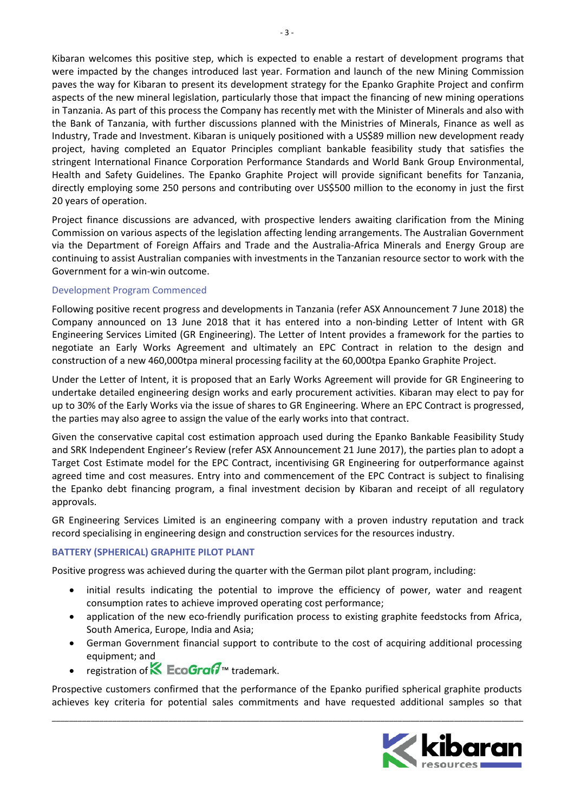Kibaran welcomes this positive step, which is expected to enable a restart of development programs that were impacted by the changes introduced last year. Formation and launch of the new Mining Commission paves the way for Kibaran to present its development strategy for the Epanko Graphite Project and confirm aspects of the new mineral legislation, particularly those that impact the financing of new mining operations in Tanzania. As part of this process the Company has recently met with the Minister of Minerals and also with the Bank of Tanzania, with further discussions planned with the Ministries of Minerals, Finance as well as Industry, Trade and Investment. Kibaran is uniquely positioned with a US\$89 million new development ready project, having completed an Equator Principles compliant bankable feasibility study that satisfies the stringent International Finance Corporation Performance Standards and World Bank Group Environmental, Health and Safety Guidelines. The Epanko Graphite Project will provide significant benefits for Tanzania, directly employing some 250 persons and contributing over US\$500 million to the economy in just the first 20 years of operation.

Project finance discussions are advanced, with prospective lenders awaiting clarification from the Mining Commission on various aspects of the legislation affecting lending arrangements. The Australian Government via the Department of Foreign Affairs and Trade and the Australia-Africa Minerals and Energy Group are continuing to assist Australian companies with investments in the Tanzanian resource sector to work with the Government for a win-win outcome.

#### Development Program Commenced

Following positive recent progress and developments in Tanzania (refer ASX Announcement 7 June 2018) the Company announced on 13 June 2018 that it has entered into a non-binding Letter of Intent with GR Engineering Services Limited (GR Engineering). The Letter of Intent provides a framework for the parties to negotiate an Early Works Agreement and ultimately an EPC Contract in relation to the design and construction of a new 460,000tpa mineral processing facility at the 60,000tpa Epanko Graphite Project.

Under the Letter of Intent, it is proposed that an Early Works Agreement will provide for GR Engineering to undertake detailed engineering design works and early procurement activities. Kibaran may elect to pay for up to 30% of the Early Works via the issue of shares to GR Engineering. Where an EPC Contract is progressed, the parties may also agree to assign the value of the early works into that contract.

Given the conservative capital cost estimation approach used during the Epanko Bankable Feasibility Study and SRK Independent Engineer's Review (refer ASX Announcement 21 June 2017), the parties plan to adopt a Target Cost Estimate model for the EPC Contract, incentivising GR Engineering for outperformance against agreed time and cost measures. Entry into and commencement of the EPC Contract is subject to finalising the Epanko debt financing program, a final investment decision by Kibaran and receipt of all regulatory approvals.

GR Engineering Services Limited is an engineering company with a proven industry reputation and track record specialising in engineering design and construction services for the resources industry.

#### **BATTERY (SPHERICAL) GRAPHITE PILOT PLANT**

Positive progress was achieved during the quarter with the German pilot plant program, including:

- initial results indicating the potential to improve the efficiency of power, water and reagent consumption rates to achieve improved operating cost performance;
- application of the new eco-friendly purification process to existing graphite feedstocks from Africa, South America, Europe, India and Asia;
- German Government financial support to contribute to the cost of acquiring additional processing equipment; and
- registration of  $K$  EcoGra $G_{\text{m}}$  trademark.

Prospective customers confirmed that the performance of the Epanko purified spherical graphite products achieves key criteria for potential sales commitments and have requested additional samples so that

\_\_\_\_\_\_\_\_\_\_\_\_\_\_\_\_\_\_\_\_\_\_\_\_\_\_\_\_\_\_\_\_\_\_\_\_\_\_\_\_\_\_\_\_\_\_\_\_\_\_\_\_\_\_\_\_\_\_\_\_\_\_\_\_\_\_\_\_\_\_\_\_\_\_\_\_\_\_\_\_\_\_\_\_\_\_\_\_\_\_\_\_\_\_\_\_\_\_\_\_\_\_\_\_\_\_\_\_\_

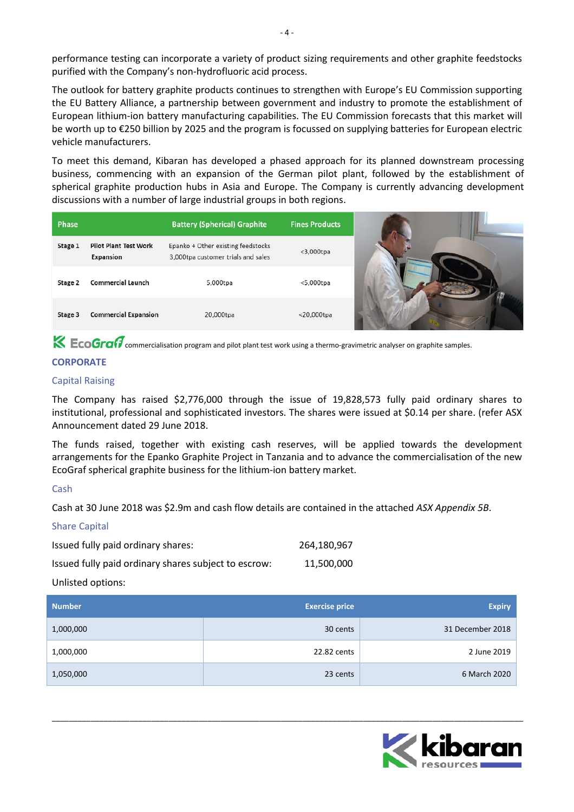performance testing can incorporate a variety of product sizing requirements and other graphite feedstocks purified with the Company's non-hydrofluoric acid process.

The outlook for battery graphite products continues to strengthen with Europe's EU Commission supporting the EU Battery Alliance, a partnership between government and industry to promote the establishment of European lithium-ion battery manufacturing capabilities. The EU Commission forecasts that this market will be worth up to €250 billion by 2025 and the program is focussed on supplying batteries for European electric vehicle manufacturers.

To meet this demand, Kibaran has developed a phased approach for its planned downstream processing business, commencing with an expansion of the German pilot plant, followed by the establishment of spherical graphite production hubs in Asia and Europe. The Company is currently advancing development discussions with a number of large industrial groups in both regions.

| Phase   |                                           | <b>Battery (Spherical) Graphite</b>                                      | <b>Fines Products</b> |
|---------|-------------------------------------------|--------------------------------------------------------------------------|-----------------------|
| Stage 1 | <b>Pilot Plant Test Work</b><br>Expansion | Epanko + Other existing feedstocks<br>3,000tpa customer trials and sales | $<$ 3,000 $tpa$       |
| Stage 2 | <b>Commercial Launch</b>                  | 5,000tpa                                                                 | <5,000tpa             |
| Stage 3 | <b>Commercial Expansion</b>               | 20,000tpa                                                                | $<$ 20,000tpa         |

**CoGraf7** commercialisation program and pilot plant test work using a thermo-gravimetric analyser on graphite samples.

### **CORPORATE**

#### Capital Raising

The Company has raised \$2,776,000 through the issue of 19,828,573 fully paid ordinary shares to institutional, professional and sophisticated investors. The shares were issued at \$0.14 per share. (refer ASX Announcement dated 29 June 2018.

The funds raised, together with existing cash reserves, will be applied towards the development arrangements for the Epanko Graphite Project in Tanzania and to advance the commercialisation of the new EcoGraf spherical graphite business for the lithium-ion battery market.

#### Cash

Cash at 30 June 2018 was \$2.9m and cash flow details are contained in the attached *ASX Appendix 5B*.

#### Share Capital

| Issued fully paid ordinary shares:                   | 264,180,967 |
|------------------------------------------------------|-------------|
| Issued fully paid ordinary shares subject to escrow: | 11.500.000  |
| ままっ ほうしょうしょう よきょうしょう                                 |             |

Unlisted options:

| <b>Number</b> | <b>Exercise price</b> | <b>Expiry</b>    |
|---------------|-----------------------|------------------|
| 1,000,000     | 30 cents              | 31 December 2018 |
| 1,000,000     | 22.82 cents           | 2 June 2019      |
| 1,050,000     | 23 cents              | 6 March 2020     |

\_\_\_\_\_\_\_\_\_\_\_\_\_\_\_\_\_\_\_\_\_\_\_\_\_\_\_\_\_\_\_\_\_\_\_\_\_\_\_\_\_\_\_\_\_\_\_\_\_\_\_\_\_\_\_\_\_\_\_\_\_\_\_\_\_\_\_\_\_\_\_\_\_\_\_\_\_\_\_\_\_\_\_\_\_\_\_\_\_\_\_\_\_\_\_\_\_\_\_\_\_\_\_\_\_\_\_\_\_

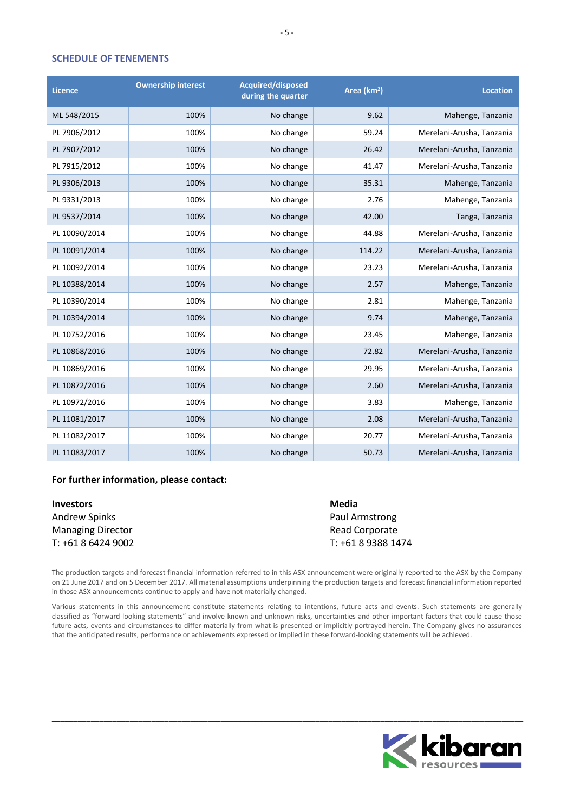#### **SCHEDULE OF TENEMENTS**

| <b>Licence</b> | <b>Ownership interest</b> | <b>Acquired/disposed</b><br>during the quarter | Area (km <sup>2</sup> ) | <b>Location</b>           |
|----------------|---------------------------|------------------------------------------------|-------------------------|---------------------------|
| ML 548/2015    | 100%                      | No change                                      | 9.62                    | Mahenge, Tanzania         |
| PL 7906/2012   | 100%                      | No change                                      | 59.24                   | Merelani-Arusha, Tanzania |
| PL 7907/2012   | 100%                      | No change                                      | 26.42                   | Merelani-Arusha, Tanzania |
| PL 7915/2012   | 100%                      | No change                                      | 41.47                   | Merelani-Arusha, Tanzania |
| PL 9306/2013   | 100%                      | No change                                      | 35.31                   | Mahenge, Tanzania         |
| PL 9331/2013   | 100%                      | No change                                      | 2.76                    | Mahenge, Tanzania         |
| PL 9537/2014   | 100%                      | No change                                      | 42.00                   | Tanga, Tanzania           |
| PL 10090/2014  | 100%                      | No change                                      | 44.88                   | Merelani-Arusha, Tanzania |
| PL 10091/2014  | 100%                      | No change                                      | 114.22                  | Merelani-Arusha, Tanzania |
| PL 10092/2014  | 100%                      | No change                                      | 23.23                   | Merelani-Arusha, Tanzania |
| PL 10388/2014  | 100%                      | No change                                      | 2.57                    | Mahenge, Tanzania         |
| PL 10390/2014  | 100%                      | No change                                      | 2.81                    | Mahenge, Tanzania         |
| PL 10394/2014  | 100%                      | No change                                      | 9.74                    | Mahenge, Tanzania         |
| PL 10752/2016  | 100%                      | No change                                      | 23.45                   | Mahenge, Tanzania         |
| PL 10868/2016  | 100%                      | No change                                      | 72.82                   | Merelani-Arusha, Tanzania |
| PL 10869/2016  | 100%                      | No change                                      | 29.95                   | Merelani-Arusha, Tanzania |
| PL 10872/2016  | 100%                      | No change                                      | 2.60                    | Merelani-Arusha, Tanzania |
| PL 10972/2016  | 100%                      | No change                                      | 3.83                    | Mahenge, Tanzania         |
| PL 11081/2017  | 100%                      | No change                                      | 2.08                    | Merelani-Arusha, Tanzania |
| PL 11082/2017  | 100%                      | No change                                      | 20.77                   | Merelani-Arusha, Tanzania |
| PL 11083/2017  | 100%                      | No change                                      | 50.73                   | Merelani-Arusha, Tanzania |

#### **For further information, please contact:**

| <b>Investors</b>         | Media              |
|--------------------------|--------------------|
| Andrew Spinks            | Paul Armstrong     |
| <b>Managing Director</b> | Read Corporate     |
| T: +61 8 6424 9002       | T: +61 8 9388 1474 |

The production targets and forecast financial information referred to in this ASX announcement were originally reported to the ASX by the Company on 21 June 2017 and on 5 December 2017. All material assumptions underpinning the production targets and forecast financial information reported in those ASX announcements continue to apply and have not materially changed.

Various statements in this announcement constitute statements relating to intentions, future acts and events. Such statements are generally classified as "forward-looking statements" and involve known and unknown risks, uncertainties and other important factors that could cause those future acts, events and circumstances to differ materially from what is presented or implicitly portrayed herein. The Company gives no assurances that the anticipated results, performance or achievements expressed or implied in these forward-looking statements will be achieved.

\_\_\_\_\_\_\_\_\_\_\_\_\_\_\_\_\_\_\_\_\_\_\_\_\_\_\_\_\_\_\_\_\_\_\_\_\_\_\_\_\_\_\_\_\_\_\_\_\_\_\_\_\_\_\_\_\_\_\_\_\_\_\_\_\_\_\_\_\_\_\_\_\_\_\_\_\_\_\_\_\_\_\_\_\_\_\_\_\_\_\_\_\_\_\_\_\_\_\_\_\_\_\_\_\_\_\_\_\_

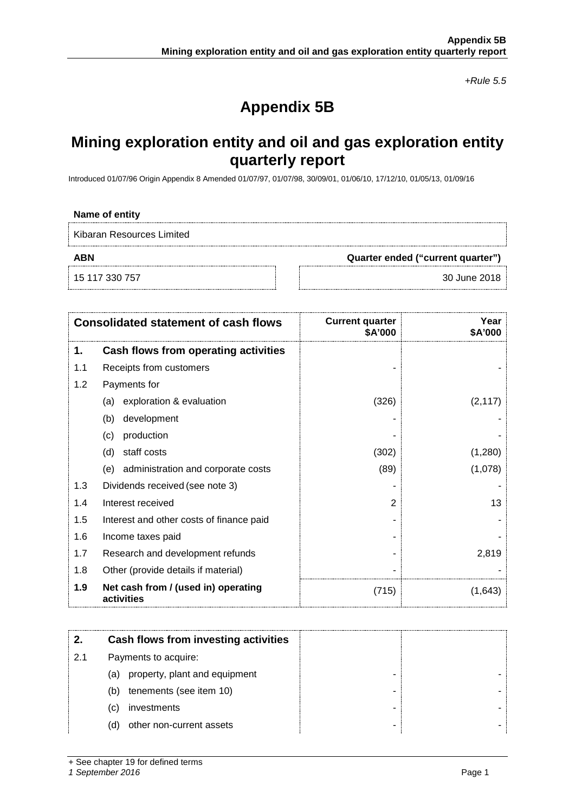*+Rule 5.5*

# **Appendix 5B**

# **Mining exploration entity and oil and gas exploration entity quarterly report**

Introduced 01/07/96 Origin Appendix 8 Amended 01/07/97, 01/07/98, 30/09/01, 01/06/10, 17/12/10, 01/05/13, 01/09/16

#### **Name of entity**

Kibaran Resources Limited

15 117 330 757 30 June 2018

**ABN Quarter ended ("current quarter")**

| <b>Consolidated statement of cash flows</b> |                                                   | <b>Current quarter</b><br>\$A'000 | Year<br>\$A'000 |
|---------------------------------------------|---------------------------------------------------|-----------------------------------|-----------------|
| 1.                                          | Cash flows from operating activities              |                                   |                 |
| 1.1                                         | Receipts from customers                           |                                   |                 |
| 1.2                                         | Payments for                                      |                                   |                 |
|                                             | exploration & evaluation<br>(a)                   | (326)                             | (2, 117)        |
|                                             | development<br>(b)                                |                                   |                 |
|                                             | production<br>(c)                                 |                                   |                 |
|                                             | staff costs<br>(d)                                | (302)                             | (1,280)         |
|                                             | (e) administration and corporate costs            | (89)                              | (1,078)         |
| 1.3                                         | Dividends received (see note 3)                   |                                   |                 |
| 1.4                                         | Interest received                                 | 2                                 | 13              |
| 1.5                                         | Interest and other costs of finance paid          |                                   |                 |
| 1.6                                         | Income taxes paid                                 |                                   |                 |
| 1.7                                         | Research and development refunds                  |                                   | 2,819           |
| 1.8                                         | Other (provide details if material)               |                                   |                 |
| 1.9                                         | Net cash from / (used in) operating<br>activities | (715)                             | (1,643)         |

|     | Cash flows from investing activities |  |
|-----|--------------------------------------|--|
| 2.1 | Payments to acquire:                 |  |
|     | property, plant and equipment<br>(a) |  |
|     | tenements (see item 10)<br>(b)       |  |
|     | investments<br>(C)                   |  |
|     | other non-current assets<br>(d)      |  |

+ See chapter 19 for defined terms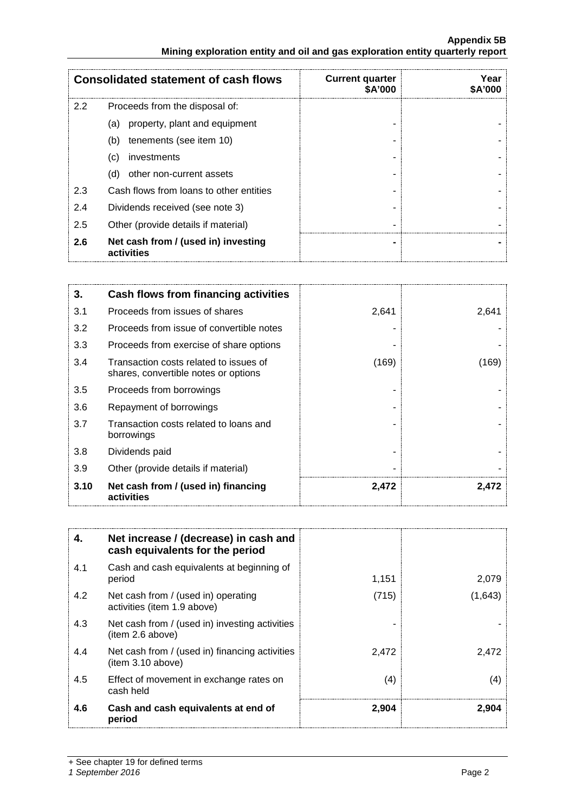#### **Appendix 5B Mining exploration entity and oil and gas exploration entity quarterly report**

|     | <b>Consolidated statement of cash flows</b>       | <b>Current quarter</b><br><b>SA'000</b> | Year<br>A'000 |
|-----|---------------------------------------------------|-----------------------------------------|---------------|
| 2.2 | Proceeds from the disposal of:                    |                                         |               |
|     | property, plant and equipment<br>(a)              |                                         |               |
|     | tenements (see item 10)<br>(b)                    |                                         |               |
|     | investments<br>(c)                                |                                         |               |
|     | other non-current assets<br>(d)                   |                                         |               |
| 2.3 | Cash flows from loans to other entities           |                                         |               |
| 2.4 | Dividends received (see note 3)                   |                                         |               |
| 2.5 | Other (provide details if material)               |                                         |               |
| 2.6 | Net cash from / (used in) investing<br>activities |                                         |               |

| 3.   | Cash flows from financing activities                                           |       |       |
|------|--------------------------------------------------------------------------------|-------|-------|
| 3.1  | Proceeds from issues of shares                                                 | 2,641 | 2,641 |
| 3.2  | Proceeds from issue of convertible notes                                       |       |       |
| 3.3  | Proceeds from exercise of share options                                        |       |       |
| 3.4  | Transaction costs related to issues of<br>shares, convertible notes or options | (169) | 169)  |
| 3.5  | Proceeds from borrowings                                                       |       |       |
| 3.6  | Repayment of borrowings                                                        |       |       |
| 3.7  | Transaction costs related to loans and<br>borrowings                           |       |       |
| 3.8  | Dividends paid                                                                 |       |       |
| 3.9  | Other (provide details if material)                                            |       |       |
| 3.10 | Net cash from / (used in) financing<br>activities                              | 2,472 | 2,472 |

| 4.  | Net increase / (decrease) in cash and<br>cash equivalents for the period |       |         |
|-----|--------------------------------------------------------------------------|-------|---------|
| 4.1 | Cash and cash equivalents at beginning of<br>period                      | 1,151 | 2,079   |
| 4.2 | Net cash from / (used in) operating<br>activities (item 1.9 above)       | (715) | (1,643) |
| 4.3 | Net cash from / (used in) investing activities<br>(item 2.6 above)       |       |         |
| 4.4 | Net cash from / (used in) financing activities<br>item 3.10 above)       | 2,472 | 2,472   |
| 4.5 | Effect of movement in exchange rates on<br>cash held                     | (4)   | (4)     |
| 4.6 | Cash and cash equivalents at end of<br>period                            | 2.904 | 2.904   |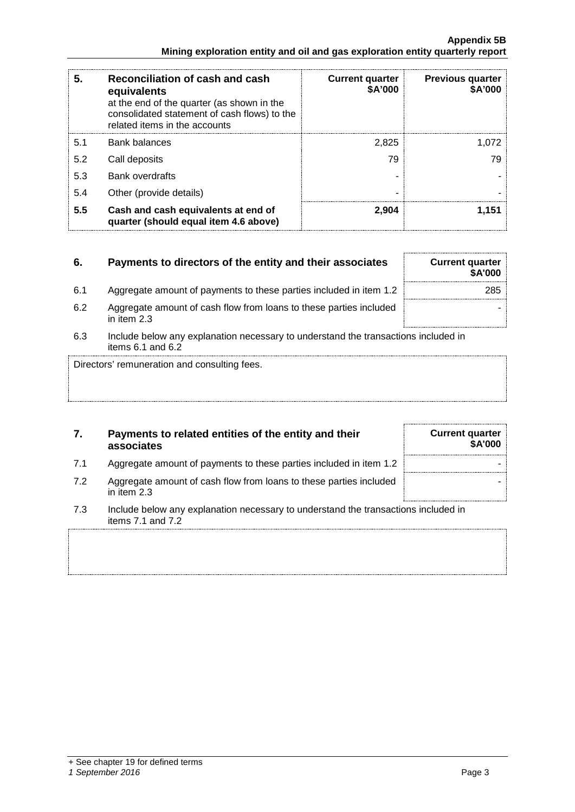|                                                                               | Appendix 5B |
|-------------------------------------------------------------------------------|-------------|
| Mining exploration entity and oil and gas exploration entity quarterly report |             |

| 5.  | Reconciliation of cash and cash<br>equivalents<br>at the end of the quarter (as shown in the<br>consolidated statement of cash flows) to the<br>related items in the accounts | <b>Current quarter</b><br>\$A'000 | <b>Previous quarter</b><br><b>\$A'000</b> |
|-----|-------------------------------------------------------------------------------------------------------------------------------------------------------------------------------|-----------------------------------|-------------------------------------------|
| 5.1 | Bank balances                                                                                                                                                                 | 2,825                             | 1.072                                     |
| 5.2 | Call deposits                                                                                                                                                                 | 79                                | 79                                        |
| 5.3 | <b>Bank overdrafts</b>                                                                                                                                                        |                                   |                                           |
| 5.4 | Other (provide details)                                                                                                                                                       |                                   |                                           |
| 5.5 | Cash and cash equivalents at end of<br>quarter (should equal item 4.6 above)                                                                                                  | 2.904                             | 1.151                                     |

### **6.** Payments to directors of the entity and their associates Current quarter

- 6.1 Aggregate amount of payments to these parties included in item 1.2
- 6.2 Aggregate amount of cash flow from loans to these parties included in item 2.3
- 6.3 Include below any explanation necessary to understand the transactions included in items 6.1 and 6.2

Directors' remuneration and consulting fees.

### **7. Payments to related entities of the entity and their associates**

- 7.1 Aggregate amount of payments to these parties included in item 1.2  $\parallel$
- 7.2 Aggregate amount of cash flow from loans to these parties included in item 2.3
- 7.3 Include below any explanation necessary to understand the transactions included in items 7.1 and 7.2

| vunvut yuurvi<br>\$A'000 |
|--------------------------|
| 285                      |
|                          |

**Current quarter**

**\$A'000**

-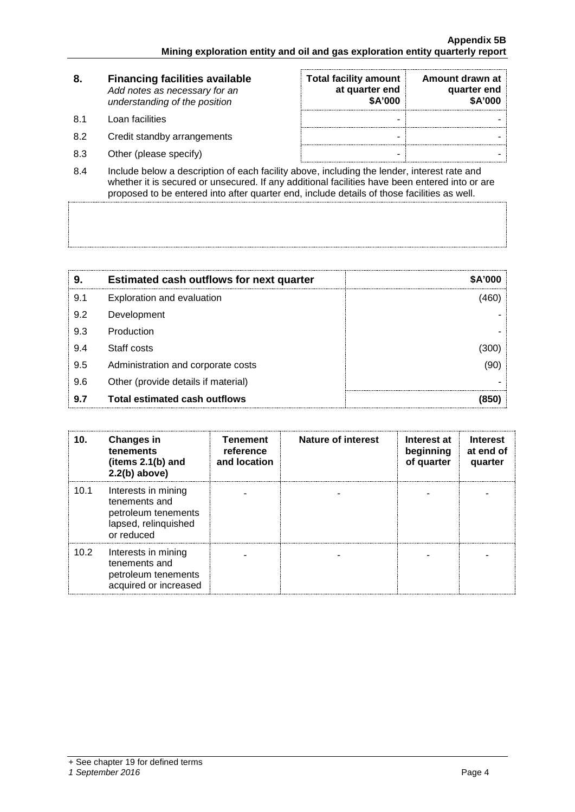|     | <b>Financing facilities available</b><br>Add notes as necessary for an<br>understanding of the position | <b>Total facility amount</b><br>at quarter end<br>\$A'000 | Amount drawn at<br>quarter end<br>\$A'000 |
|-----|---------------------------------------------------------------------------------------------------------|-----------------------------------------------------------|-------------------------------------------|
| 81  | Loan facilities                                                                                         | -                                                         |                                           |
| 8.2 | Credit standby arrangements                                                                             | -                                                         |                                           |
| 8.3 | Other (please specify)                                                                                  | -                                                         |                                           |

8.4 Include below a description of each facility above, including the lender, interest rate and whether it is secured or unsecured. If any additional facilities have been entered into or are proposed to be entered into after quarter end, include details of those facilities as well.

| 9   | <b>Estimated cash outflows for next quarter</b> |  |
|-----|-------------------------------------------------|--|
| 9.1 | Exploration and evaluation                      |  |
| 9.2 | Development                                     |  |
| 9.3 | Production                                      |  |
| 9.4 | Staff costs                                     |  |
| 9.5 | Administration and corporate costs              |  |
| 9.6 | Other (provide details if material)             |  |
| 9.7 | <b>Total estimated cash outflows</b>            |  |

| 10.               | <b>Changes in</b><br>tenements<br>(items $2.1(b)$ and<br>$2.2(b)$ above)                          | <b>Tenement</b><br>reference<br>and location | <b>Nature of interest</b> | Interest at<br>beginning<br>of quarter | <b>Interest</b><br>at end of<br>quarter |
|-------------------|---------------------------------------------------------------------------------------------------|----------------------------------------------|---------------------------|----------------------------------------|-----------------------------------------|
| 10.1              | Interests in mining<br>tenements and<br>petroleum tenements<br>lapsed, relinquished<br>or reduced |                                              |                           |                                        |                                         |
| 10.2 <sub>1</sub> | Interests in mining<br>tenements and<br>petroleum tenements<br>acquired or increased              |                                              |                           |                                        |                                         |